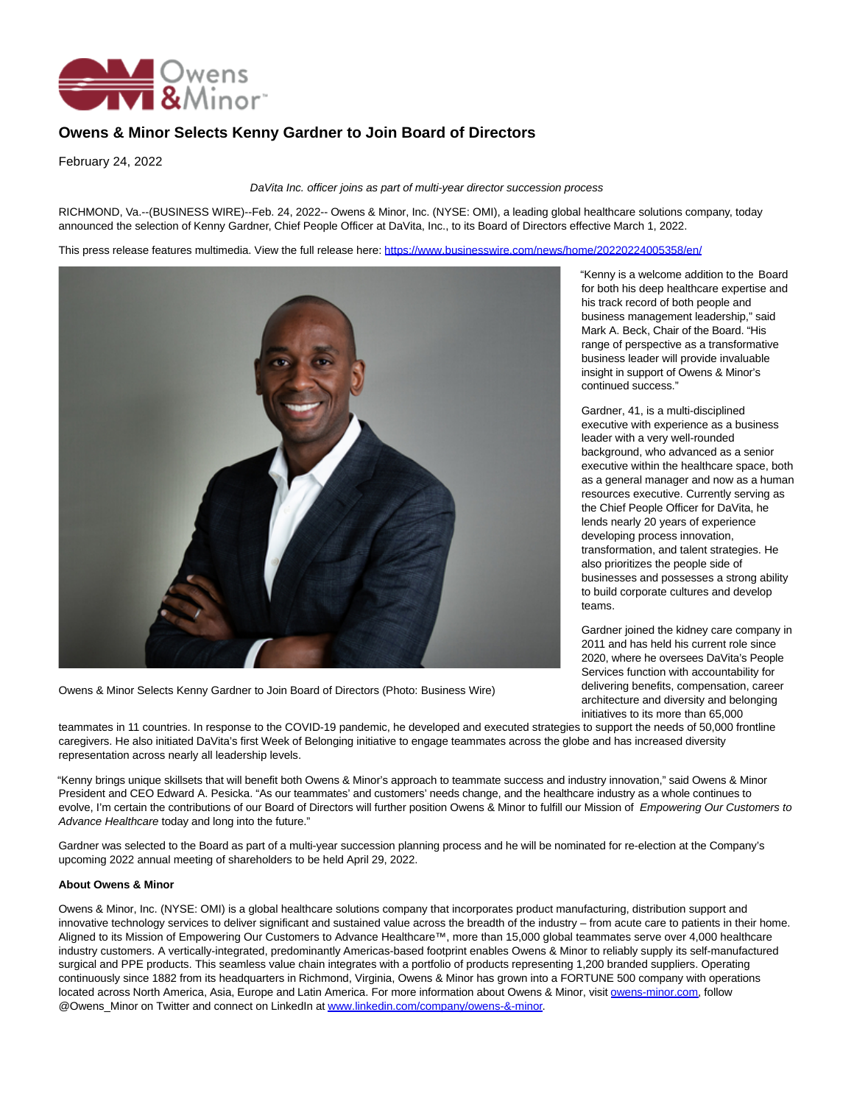

## **Owens & Minor Selects Kenny Gardner to Join Board of Directors**

February 24, 2022

DaVita Inc. officer joins as part of multi-year director succession process

RICHMOND, Va.--(BUSINESS WIRE)--Feb. 24, 2022-- Owens & Minor, Inc. (NYSE: OMI), a leading global healthcare solutions company, today announced the selection of Kenny Gardner, Chief People Officer at DaVita, Inc., to its Board of Directors effective March 1, 2022.

This press release features multimedia. View the full release here:<https://www.businesswire.com/news/home/20220224005358/en/>



Owens & Minor Selects Kenny Gardner to Join Board of Directors (Photo: Business Wire)

"Kenny is a welcome addition to the Board for both his deep healthcare expertise and his track record of both people and business management leadership," said Mark A. Beck, Chair of the Board. "His range of perspective as a transformative business leader will provide invaluable insight in support of Owens & Minor's continued success."

Gardner, 41, is a multi-disciplined executive with experience as a business leader with a very well-rounded background, who advanced as a senior executive within the healthcare space, both as a general manager and now as a human resources executive. Currently serving as the Chief People Officer for DaVita, he lends nearly 20 years of experience developing process innovation, transformation, and talent strategies. He also prioritizes the people side of businesses and possesses a strong ability to build corporate cultures and develop teams.

Gardner joined the kidney care company in 2011 and has held his current role since 2020, where he oversees DaVita's People Services function with accountability for delivering benefits, compensation, career architecture and diversity and belonging initiatives to its more than 65,000

teammates in 11 countries. In response to the COVID-19 pandemic, he developed and executed strategies to support the needs of 50,000 frontline caregivers. He also initiated DaVita's first Week of Belonging initiative to engage teammates across the globe and has increased diversity representation across nearly all leadership levels.

"Kenny brings unique skillsets that will benefit both Owens & Minor's approach to teammate success and industry innovation," said Owens & Minor President and CEO Edward A. Pesicka. "As our teammates' and customers' needs change, and the healthcare industry as a whole continues to evolve, I'm certain the contributions of our Board of Directors will further position Owens & Minor to fulfill our Mission of Empowering Our Customers to Advance Healthcare today and long into the future."

Gardner was selected to the Board as part of a multi-year succession planning process and he will be nominated for re-election at the Company's upcoming 2022 annual meeting of shareholders to be held April 29, 2022.

## **About Owens & Minor**

Owens & Minor, Inc. (NYSE: OMI) is a global healthcare solutions company that incorporates product manufacturing, distribution support and innovative technology services to deliver significant and sustained value across the breadth of the industry – from acute care to patients in their home. Aligned to its Mission of Empowering Our Customers to Advance Healthcare™, more than 15,000 global teammates serve over 4,000 healthcare industry customers. A vertically-integrated, predominantly Americas-based footprint enables Owens & Minor to reliably supply its self-manufactured surgical and PPE products. This seamless value chain integrates with a portfolio of products representing 1,200 branded suppliers. Operating continuously since 1882 from its headquarters in Richmond, Virginia, Owens & Minor has grown into a FORTUNE 500 company with operations located across North America, Asia, Europe and Latin America. For more information about Owens & Minor, visi[t owens-minor.com,](http://owens-minor.com/) follow @Owens\_Minor on Twitter and connect on LinkedIn a[t www.linkedin.com/company/owens-&-minor.](https://cts.businesswire.com/ct/CT?id=smartlink&url=http%3A%2F%2Fwww.linkedin.com%2Fcompany%2Fowens-%26-minor&esheet=52584858&newsitemid=20220224005358&lan=en-US&anchor=www.linkedin.com%2Fcompany%2Fowens-%26amp%3B-minor&index=1&md5=556505fda73b9e3544634be97e913b18)